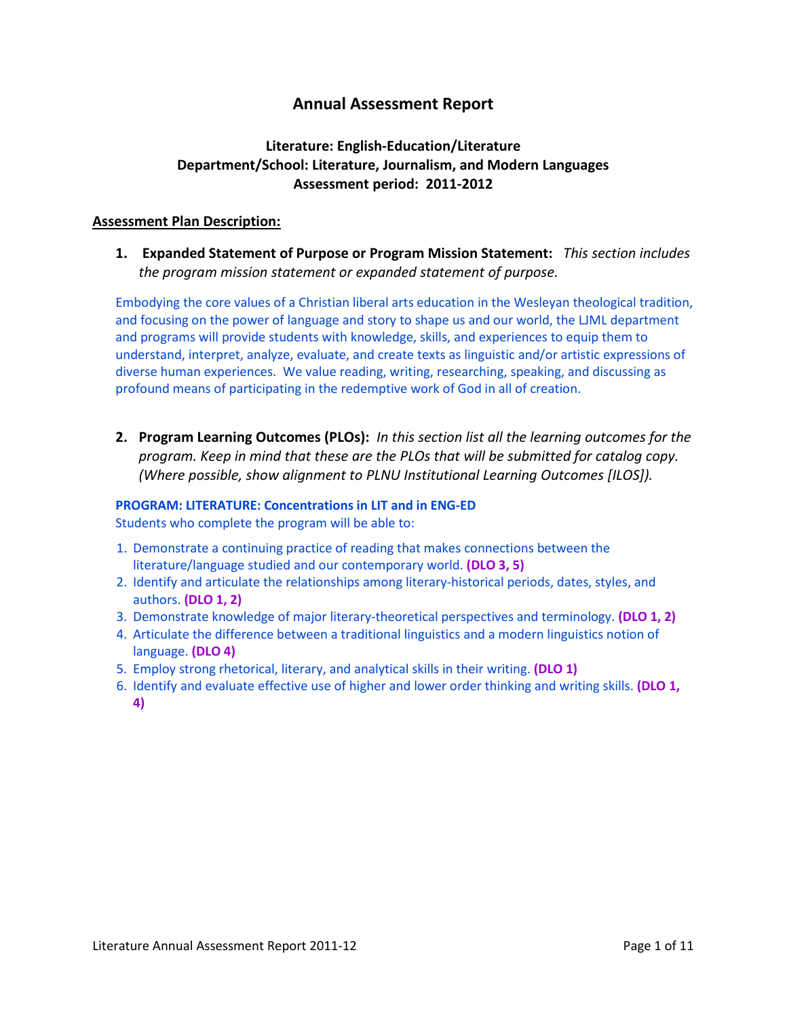# **Annual Assessment Report**

# **Literature: English-Education/Literature Department/School: Literature, Journalism, and Modern Languages Assessment period: 2011-2012**

## **Assessment Plan Description:**

**1. Expanded Statement of Purpose or Program Mission Statement:** *This section includes the program mission statement or expanded statement of purpose.*

Embodying the core values of a Christian liberal arts education in the Wesleyan theological tradition, and focusing on the power of language and story to shape us and our world, the LJML department and programs will provide students with knowledge, skills, and experiences to equip them to understand, interpret, analyze, evaluate, and create texts as linguistic and/or artistic expressions of diverse human experiences. We value reading, writing, researching, speaking, and discussing as profound means of participating in the redemptive work of God in all of creation.

**2. Program Learning Outcomes (PLOs):** *In this section list all the learning outcomes for the program. Keep in mind that these are the PLOs that will be submitted for catalog copy. (Where possible, show alignment to PLNU Institutional Learning Outcomes [ILOS]).*

## **PROGRAM: LITERATURE: Concentrations in LIT and in ENG-ED**

Students who complete the program will be able to:

- 1. Demonstrate a continuing practice of reading that makes connections between the literature/language studied and our contemporary world. **(DLO 3, 5)**
- 2. Identify and articulate the relationships among literary-historical periods, dates, styles, and authors. **(DLO 1, 2)**
- 3. Demonstrate knowledge of major literary-theoretical perspectives and terminology. **(DLO 1, 2)**
- 4. Articulate the difference between a traditional linguistics and a modern linguistics notion of language. **(DLO 4)**
- 5. Employ strong rhetorical, literary, and analytical skills in their writing. **(DLO 1)**
- 6. Identify and evaluate effective use of higher and lower order thinking and writing skills. **(DLO 1, 4)**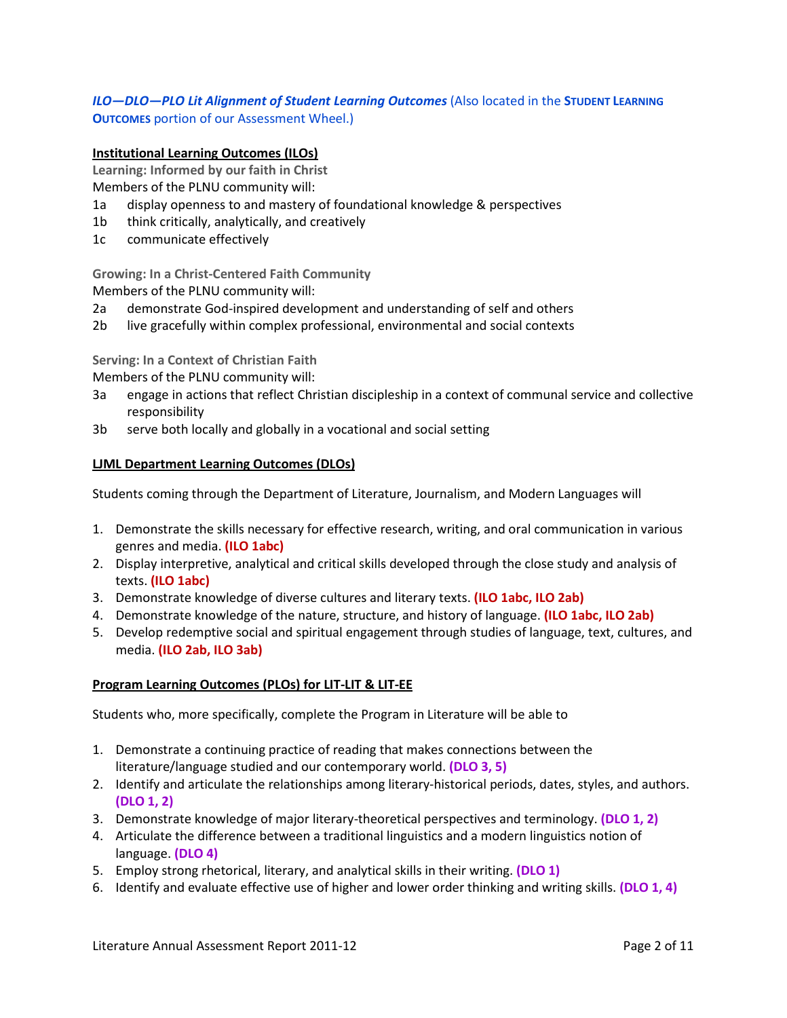## *ILO—DLO—PLO Lit Alignment of Student Learning Outcomes* (Also located in the **STUDENT LEARNING OUTCOMES** portion of our Assessment Wheel.)

#### **Institutional Learning Outcomes (ILOs)**

**Learning: Informed by our faith in Christ**

Members of the PLNU community will:

- 1a display openness to and mastery of foundational knowledge & perspectives
- 1b think critically, analytically, and creatively
- 1c communicate effectively

**Growing: In a Christ-Centered Faith Community**

Members of the PLNU community will:

- 2a demonstrate God-inspired development and understanding of self and others
- 2b live gracefully within complex professional, environmental and social contexts

**Serving: In a Context of Christian Faith**

Members of the PLNU community will:

- 3a engage in actions that reflect Christian discipleship in a context of communal service and collective responsibility
- 3b serve both locally and globally in a vocational and social setting

#### **LJML Department Learning Outcomes (DLOs)**

Students coming through the Department of Literature, Journalism, and Modern Languages will

- 1. Demonstrate the skills necessary for effective research, writing, and oral communication in various genres and media. **(ILO 1abc)**
- 2. Display interpretive, analytical and critical skills developed through the close study and analysis of texts. **(ILO 1abc)**
- 3. Demonstrate knowledge of diverse cultures and literary texts. **(ILO 1abc, ILO 2ab)**
- 4. Demonstrate knowledge of the nature, structure, and history of language. **(ILO 1abc, ILO 2ab)**
- 5. Develop redemptive social and spiritual engagement through studies of language, text, cultures, and media. **(ILO 2ab, ILO 3ab)**

#### **Program Learning Outcomes (PLOs) for LIT-LIT & LIT-EE**

Students who, more specifically, complete the Program in Literature will be able to

- 1. Demonstrate a continuing practice of reading that makes connections between the literature/language studied and our contemporary world. **(DLO 3, 5)**
- 2. Identify and articulate the relationships among literary-historical periods, dates, styles, and authors. **(DLO 1, 2)**
- 3. Demonstrate knowledge of major literary-theoretical perspectives and terminology. **(DLO 1, 2)**
- 4. Articulate the difference between a traditional linguistics and a modern linguistics notion of language. **(DLO 4)**
- 5. Employ strong rhetorical, literary, and analytical skills in their writing. **(DLO 1)**
- 6. Identify and evaluate effective use of higher and lower order thinking and writing skills. **(DLO 1, 4)**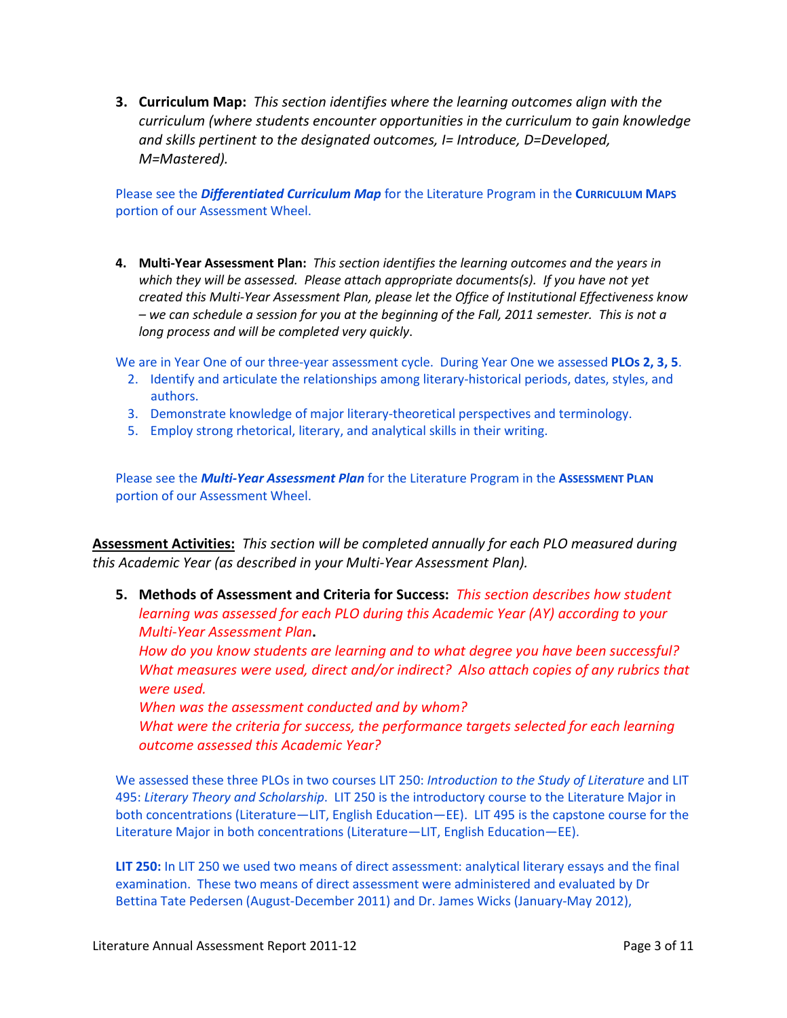**3. Curriculum Map:** *This section identifies where the learning outcomes align with the curriculum (where students encounter opportunities in the curriculum to gain knowledge and skills pertinent to the designated outcomes, I= Introduce, D=Developed, M=Mastered).*

Please see the *Differentiated Curriculum Map* for the Literature Program in the **CURRICULUM MAPS** portion of our Assessment Wheel.

**4. Multi-Year Assessment Plan:** *This section identifies the learning outcomes and the years in which they will be assessed. Please attach appropriate documents(s). If you have not yet created this Multi-Year Assessment Plan, please let the Office of Institutional Effectiveness know – we can schedule a session for you at the beginning of the Fall, 2011 semester. This is not a long process and will be completed very quickly*.

We are in Year One of our three-year assessment cycle. During Year One we assessed **PLOs 2, 3, 5**.

- 2. Identify and articulate the relationships among literary-historical periods, dates, styles, and authors.
- 3. Demonstrate knowledge of major literary-theoretical perspectives and terminology.
- 5. Employ strong rhetorical, literary, and analytical skills in their writing.

Please see the *Multi-Year Assessment Plan* for the Literature Program in the **ASSESSMENT PLAN** portion of our Assessment Wheel.

**Assessment Activities:** *This section will be completed annually for each PLO measured during this Academic Year (as described in your Multi-Year Assessment Plan).* 

**5. Methods of Assessment and Criteria for Success:** *This section describes how student learning was assessed for each PLO during this Academic Year (AY) according to your Multi-Year Assessment Plan***.**

*How do you know students are learning and to what degree you have been successful? What measures were used, direct and/or indirect? Also attach copies of any rubrics that were used.*

*When was the assessment conducted and by whom?*

*What were the criteria for success, the performance targets selected for each learning outcome assessed this Academic Year?*

We assessed these three PLOs in two courses LIT 250: *Introduction to the Study of Literature* and LIT 495: *Literary Theory and Scholarship*. LIT 250 is the introductory course to the Literature Major in both concentrations (Literature—LIT, English Education—EE). LIT 495 is the capstone course for the Literature Major in both concentrations (Literature—LIT, English Education—EE).

**LIT 250:** In LIT 250 we used two means of direct assessment: analytical literary essays and the final examination. These two means of direct assessment were administered and evaluated by Dr Bettina Tate Pedersen (August-December 2011) and Dr. James Wicks (January-May 2012),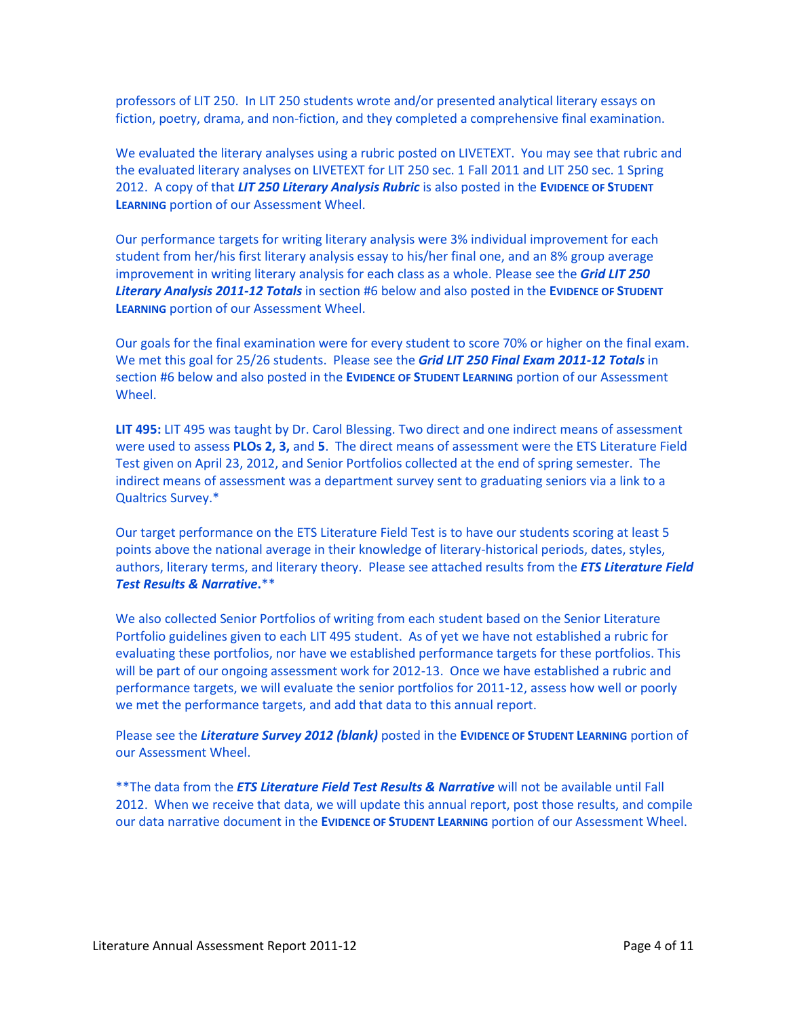professors of LIT 250. In LIT 250 students wrote and/or presented analytical literary essays on fiction, poetry, drama, and non-fiction, and they completed a comprehensive final examination.

We evaluated the literary analyses using a rubric posted on LIVETEXT. You may see that rubric and the evaluated literary analyses on LIVETEXT for LIT 250 sec. 1 Fall 2011 and LIT 250 sec. 1 Spring 2012. A copy of that *LIT 250 Literary Analysis Rubric* is also posted in the **EVIDENCE OF STUDENT LEARNING** portion of our Assessment Wheel.

Our performance targets for writing literary analysis were 3% individual improvement for each student from her/his first literary analysis essay to his/her final one, and an 8% group average improvement in writing literary analysis for each class as a whole. Please see the *Grid LIT 250 Literary Analysis 2011-12 Totals* in section #6 below and also posted in the **EVIDENCE OF STUDENT LEARNING** portion of our Assessment Wheel.

Our goals for the final examination were for every student to score 70% or higher on the final exam. We met this goal for 25/26 students. Please see the *Grid LIT 250 Final Exam 2011-12 Totals* in section #6 below and also posted in the **EVIDENCE OF STUDENT LEARNING** portion of our Assessment Wheel.

**LIT 495:** LIT 495 was taught by Dr. Carol Blessing. Two direct and one indirect means of assessment were used to assess **PLOs 2, 3,** and **5**. The direct means of assessment were the ETS Literature Field Test given on April 23, 2012, and Senior Portfolios collected at the end of spring semester. The indirect means of assessment was a department survey sent to graduating seniors via a link to a Qualtrics Survey.\*

Our target performance on the ETS Literature Field Test is to have our students scoring at least 5 points above the national average in their knowledge of literary-historical periods, dates, styles, authors, literary terms, and literary theory. Please see attached results from the *ETS Literature Field Test Results & Narrative***.**\*\*

We also collected Senior Portfolios of writing from each student based on the Senior Literature Portfolio guidelines given to each LIT 495 student. As of yet we have not established a rubric for evaluating these portfolios, nor have we established performance targets for these portfolios. This will be part of our ongoing assessment work for 2012-13. Once we have established a rubric and performance targets, we will evaluate the senior portfolios for 2011-12, assess how well or poorly we met the performance targets, and add that data to this annual report.

Please see the *Literature Survey 2012 (blank)* posted in the **EVIDENCE OF STUDENT LEARNING** portion of our Assessment Wheel.

\*\*The data from the *ETS Literature Field Test Results & Narrative* will not be available until Fall 2012. When we receive that data, we will update this annual report, post those results, and compile our data narrative document in the **EVIDENCE OF STUDENT LEARNING** portion of our Assessment Wheel.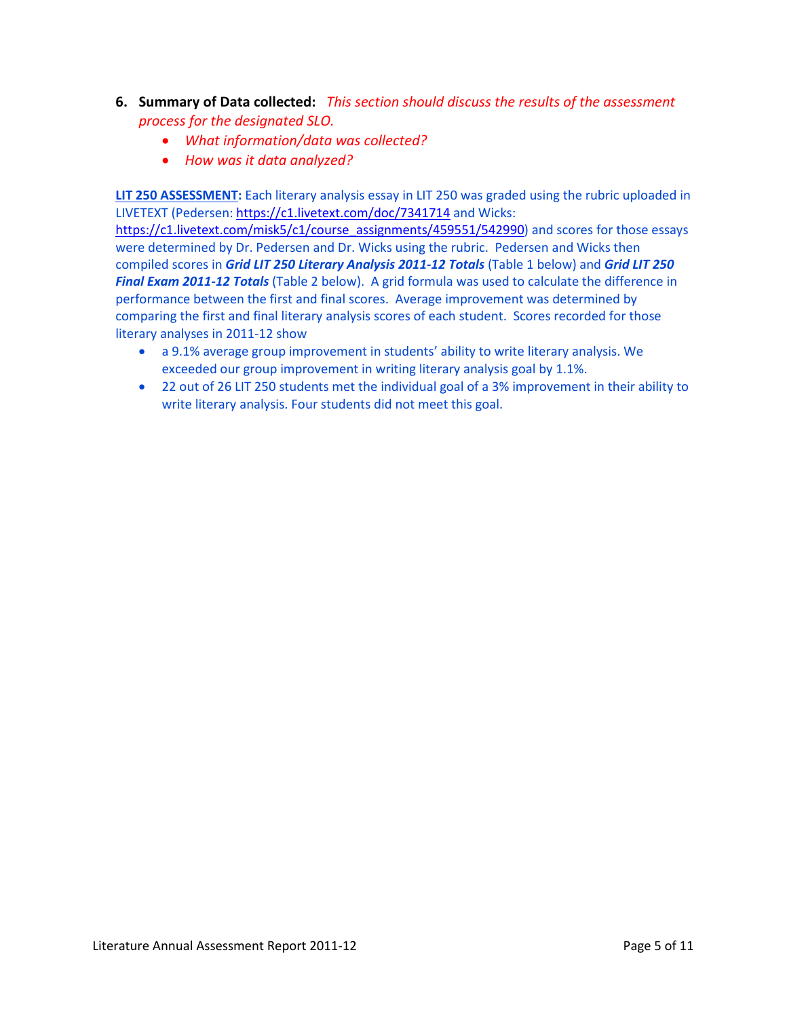- **6. Summary of Data collected:** *This section should discuss the results of the assessment process for the designated SLO.* 
	- *What information/data was collected?*
	- *How was it data analyzed?*

**LIT 250 ASSESSMENT:** Each literary analysis essay in LIT 250 was graded using the rubric uploaded in LIVETEXT (Pedersen:<https://c1.livetext.com/doc/7341714> and Wicks:

[https://c1.livetext.com/misk5/c1/course\\_assignments/459551/542990\)](https://c1.livetext.com/misk5/c1/course_assignments/459551/542990) and scores for those essays were determined by Dr. Pedersen and Dr. Wicks using the rubric. Pedersen and Wicks then compiled scores in *Grid LIT 250 Literary Analysis 2011-12 Totals* (Table 1 below) and *Grid LIT 250 Final Exam 2011-12 Totals* (Table 2 below). A grid formula was used to calculate the difference in performance between the first and final scores. Average improvement was determined by comparing the first and final literary analysis scores of each student. Scores recorded for those literary analyses in 2011-12 show

- a 9.1% average group improvement in students' ability to write literary analysis. We exceeded our group improvement in writing literary analysis goal by 1.1%.
- 22 out of 26 LIT 250 students met the individual goal of a 3% improvement in their ability to write literary analysis. Four students did not meet this goal.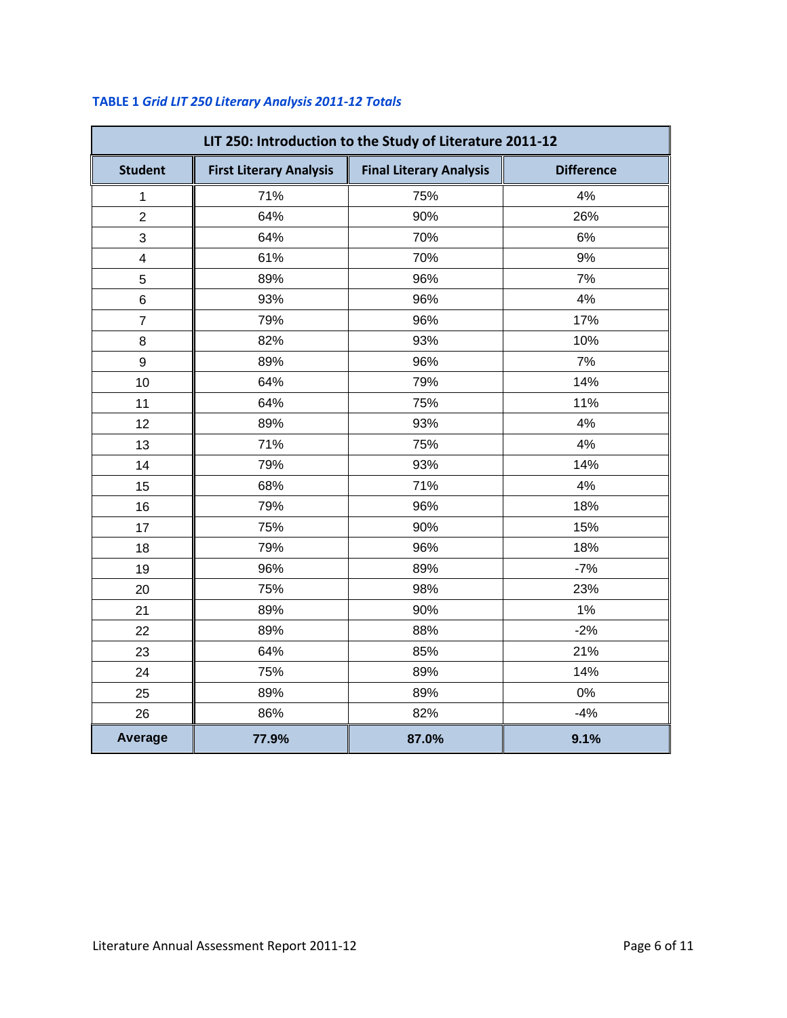| LIT 250: Introduction to the Study of Literature 2011-12 |                                |                                |                   |
|----------------------------------------------------------|--------------------------------|--------------------------------|-------------------|
| <b>Student</b>                                           | <b>First Literary Analysis</b> | <b>Final Literary Analysis</b> | <b>Difference</b> |
| $\mathbf 1$                                              | 71%                            | 75%                            | 4%                |
| $\overline{2}$                                           | 64%                            | 90%                            | 26%               |
| 3                                                        | 64%                            | 70%                            | 6%                |
| $\overline{\mathbf{4}}$                                  | 61%                            | 70%                            | 9%                |
| 5                                                        | 89%                            | 96%                            | 7%                |
| 6                                                        | 93%                            | 96%                            | 4%                |
| $\overline{7}$                                           | 79%                            | 96%                            | 17%               |
| 8                                                        | 82%                            | 93%                            | 10%               |
| 9                                                        | 89%                            | 96%                            | 7%                |
| 10                                                       | 64%                            | 79%                            | 14%               |
| 11                                                       | 64%                            | 75%                            | 11%               |
| 12                                                       | 89%                            | 93%                            | 4%                |
| 13                                                       | 71%                            | 75%                            | 4%                |
| 14                                                       | 79%                            | 93%                            | 14%               |
| 15                                                       | 68%                            | 71%                            | 4%                |
| 16                                                       | 79%                            | 96%                            | 18%               |
| 17                                                       | 75%                            | 90%                            | 15%               |
| 18                                                       | 79%                            | 96%                            | 18%               |
| 19                                                       | 96%                            | 89%                            | $-7%$             |
| 20                                                       | 75%                            | 98%                            | 23%               |
| 21                                                       | 89%                            | 90%                            | 1%                |
| 22                                                       | 89%                            | 88%                            | $-2%$             |
| 23                                                       | 64%                            | 85%                            | 21%               |
| 24                                                       | 75%                            | 89%                            | 14%               |
| 25                                                       | 89%                            | 89%                            | 0%                |
| 26                                                       | 86%                            | 82%                            | $-4%$             |
| <b>Average</b>                                           | 77.9%                          | 87.0%                          | 9.1%              |

# **TABLE 1** *Grid LIT 250 Literary Analysis 2011-12 Totals*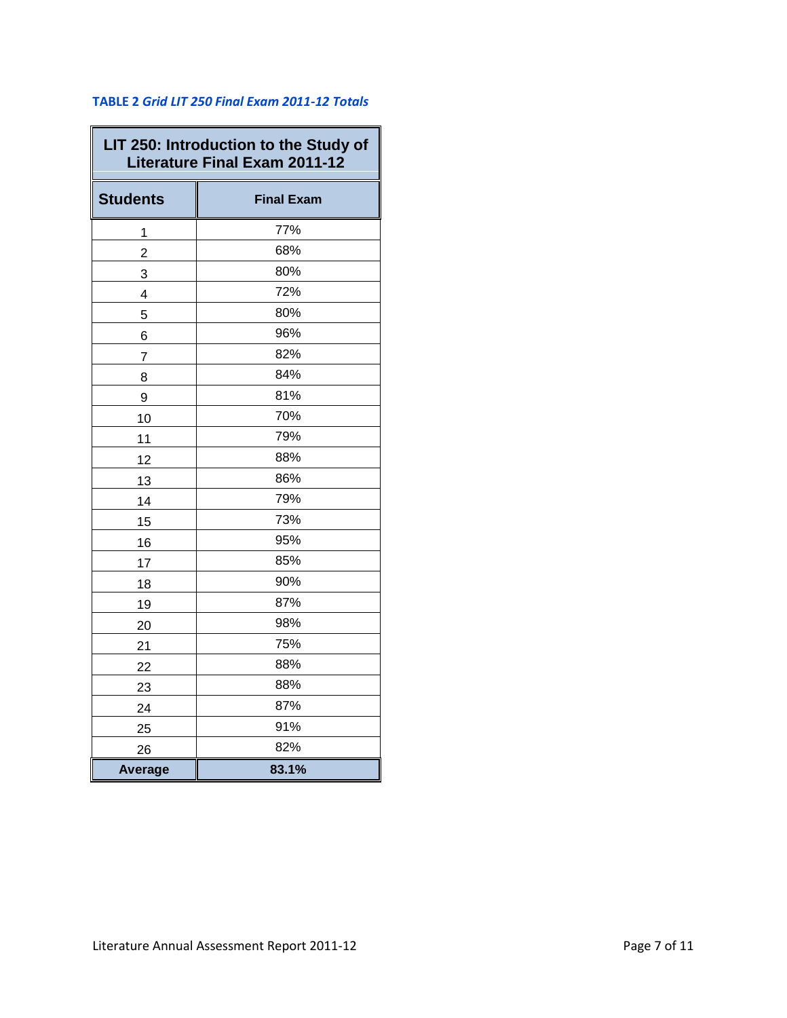## **TABLE 2** *Grid LIT 250 Final Exam 2011-12 Totals*

 $\overline{\phantom{0}}$ 

| LIT 250: Introduction to the Study of<br><b>Literature Final Exam 2011-12</b> |                   |  |
|-------------------------------------------------------------------------------|-------------------|--|
| <b>Students</b>                                                               | <b>Final Exam</b> |  |
| 1                                                                             | 77%               |  |
| $\overline{2}$                                                                | 68%               |  |
| 3                                                                             | 80%               |  |
| 4                                                                             | 72%               |  |
| 5                                                                             | 80%               |  |
| 6                                                                             | 96%               |  |
| 7                                                                             | 82%               |  |
| 8                                                                             | 84%               |  |
| 9                                                                             | 81%               |  |
| 10                                                                            | 70%               |  |
| 11                                                                            | 79%               |  |
| 12                                                                            | 88%               |  |
| 13                                                                            | 86%               |  |
| 14                                                                            | 79%               |  |
| 15                                                                            | 73%               |  |
| 16                                                                            | 95%               |  |
| 17                                                                            | 85%               |  |
| 18                                                                            | 90%               |  |
| 19                                                                            | 87%               |  |
| 20                                                                            | 98%               |  |
| 21                                                                            | 75%               |  |
| 22                                                                            | 88%               |  |
| 23                                                                            | 88%               |  |
| 24                                                                            | 87%               |  |
| 25                                                                            | 91%               |  |
| 26                                                                            | 82%               |  |
| <b>Average</b>                                                                | 83.1%             |  |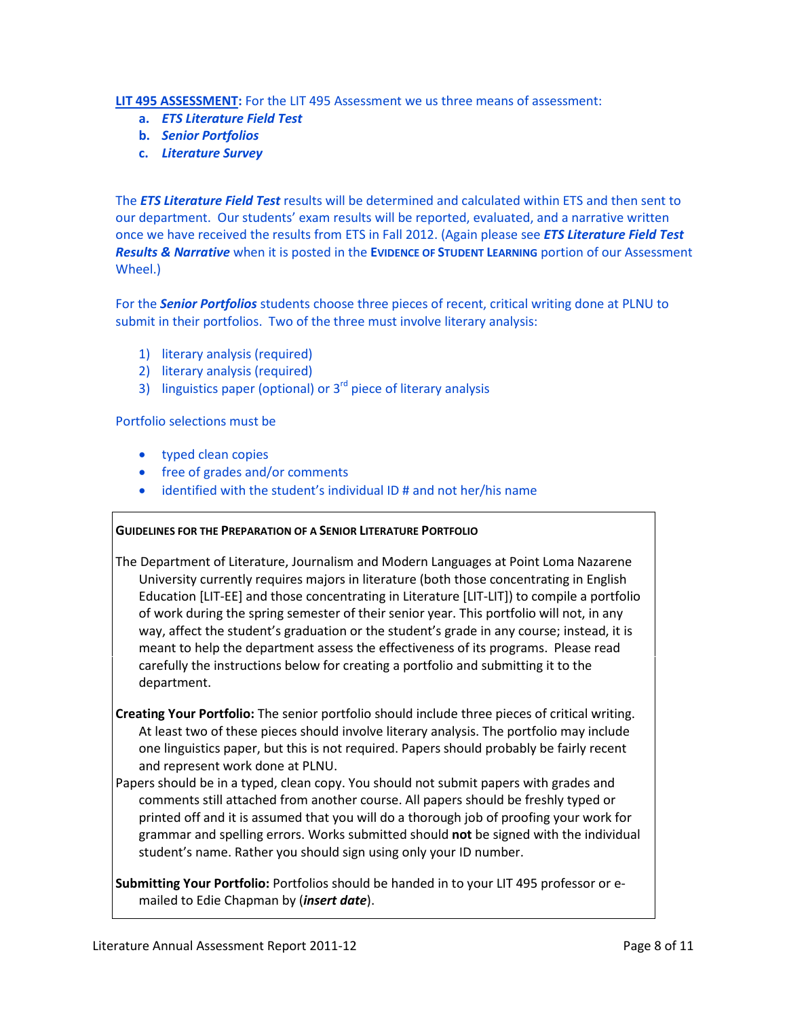#### **LIT 495 ASSESSMENT:** For the LIT 495 Assessment we us three means of assessment:

- **a.** *ETS Literature Field Test*
- **b.** *Senior Portfolios*
- **c.** *Literature Survey*

The *ETS Literature Field Test* results will be determined and calculated within ETS and then sent to our department. Our students' exam results will be reported, evaluated, and a narrative written once we have received the results from ETS in Fall 2012. (Again please see *ETS Literature Field Test Results & Narrative* when it is posted in the **EVIDENCE OF STUDENT LEARNING** portion of our Assessment Wheel.)

For the *Senior Portfolios* students choose three pieces of recent, critical writing done at PLNU to submit in their portfolios. Two of the three must involve literary analysis:

- 1) literary analysis (required)
- 2) literary analysis (required)
- 3) linguistics paper (optional) or  $3<sup>rd</sup>$  piece of literary analysis

Portfolio selections must be

- typed clean copies
- free of grades and/or comments
- identified with the student's individual ID # and not her/his name

#### **GUIDELINES FOR THE PREPARATION OF A SENIOR LITERATURE PORTFOLIO**

The Department of Literature, Journalism and Modern Languages at Point Loma Nazarene University currently requires majors in literature (both those concentrating in English Education [LIT-EE] and those concentrating in Literature [LIT-LIT]) to compile a portfolio of work during the spring semester of their senior year. This portfolio will not, in any way, affect the student's graduation or the student's grade in any course; instead, it is meant to help the department assess the effectiveness of its programs. Please read carefully the instructions below for creating a portfolio and submitting it to the department.

- **Creating Your Portfolio:** The senior portfolio should include three pieces of critical writing. At least two of these pieces should involve literary analysis. The portfolio may include one linguistics paper, but this is not required. Papers should probably be fairly recent and represent work done at PLNU.
- Papers should be in a typed, clean copy. You should not submit papers with grades and comments still attached from another course. All papers should be freshly typed or printed off and it is assumed that you will do a thorough job of proofing your work for grammar and spelling errors. Works submitted should **not** be signed with the individual student's name. Rather you should sign using only your ID number.

**Submitting Your Portfolio:** Portfolios should be handed in to your LIT 495 professor or emailed to Edie Chapman by (*insert date*).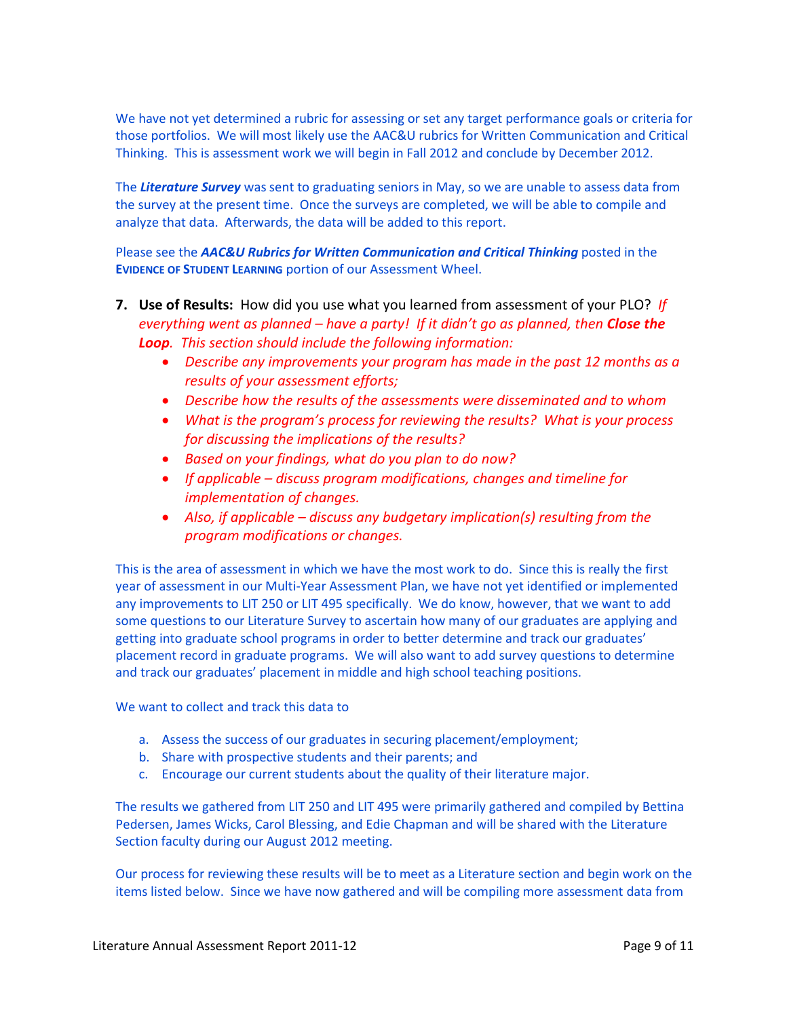We have not yet determined a rubric for assessing or set any target performance goals or criteria for those portfolios. We will most likely use the AAC&U rubrics for Written Communication and Critical Thinking. This is assessment work we will begin in Fall 2012 and conclude by December 2012.

The *Literature Survey* was sent to graduating seniors in May, so we are unable to assess data from the survey at the present time. Once the surveys are completed, we will be able to compile and analyze that data. Afterwards, the data will be added to this report.

Please see the *AAC&U Rubrics for Written Communication and Critical Thinking* posted in the **EVIDENCE OF STUDENT LEARNING** portion of our Assessment Wheel.

- **7. Use of Results:** How did you use what you learned from assessment of your PLO?*If everything went as planned – have a party! If it didn't go as planned, then Close the Loop. This section should include the following information:*
	- *Describe any improvements your program has made in the past 12 months as a results of your assessment efforts;*
	- *Describe how the results of the assessments were disseminated and to whom*
	- *What is the program's process for reviewing the results? What is your process for discussing the implications of the results?*
	- *Based on your findings, what do you plan to do now?*
	- *If applicable – discuss program modifications, changes and timeline for implementation of changes.*
	- *Also, if applicable – discuss any budgetary implication(s) resulting from the program modifications or changes.*

This is the area of assessment in which we have the most work to do. Since this is really the first year of assessment in our Multi-Year Assessment Plan, we have not yet identified or implemented any improvements to LIT 250 or LIT 495 specifically. We do know, however, that we want to add some questions to our Literature Survey to ascertain how many of our graduates are applying and getting into graduate school programs in order to better determine and track our graduates' placement record in graduate programs. We will also want to add survey questions to determine and track our graduates' placement in middle and high school teaching positions.

We want to collect and track this data to

- a. Assess the success of our graduates in securing placement/employment;
- b. Share with prospective students and their parents; and
- c. Encourage our current students about the quality of their literature major.

The results we gathered from LIT 250 and LIT 495 were primarily gathered and compiled by Bettina Pedersen, James Wicks, Carol Blessing, and Edie Chapman and will be shared with the Literature Section faculty during our August 2012 meeting.

Our process for reviewing these results will be to meet as a Literature section and begin work on the items listed below. Since we have now gathered and will be compiling more assessment data from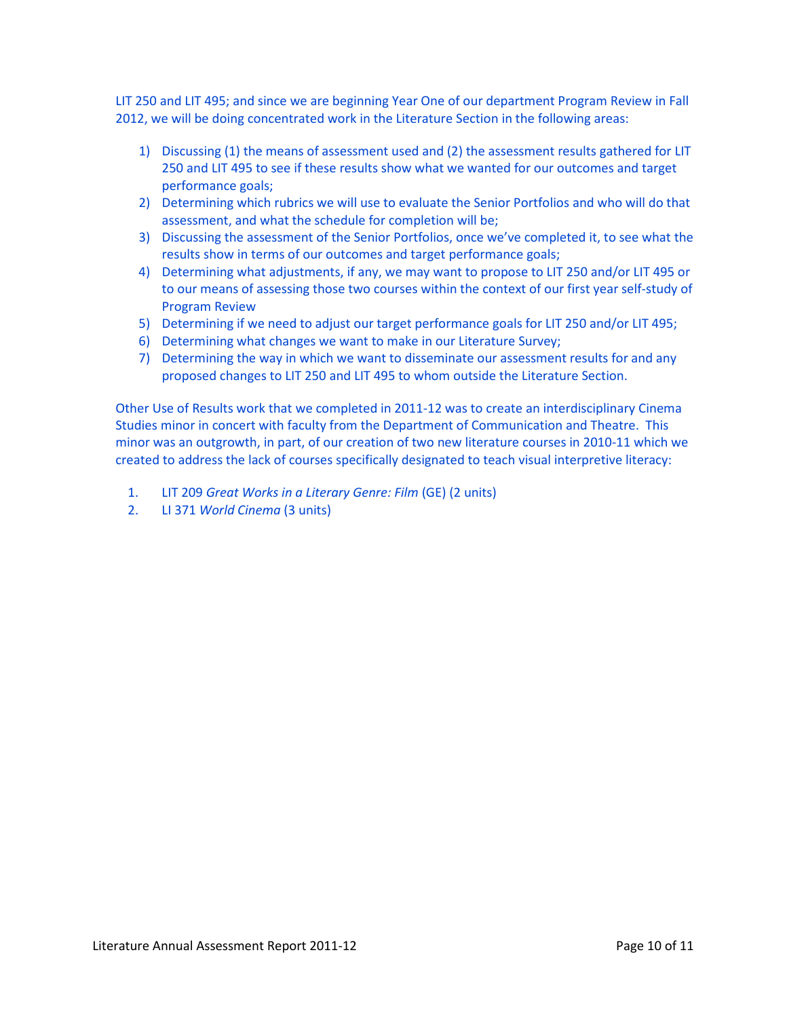LIT 250 and LIT 495; and since we are beginning Year One of our department Program Review in Fall 2012, we will be doing concentrated work in the Literature Section in the following areas:

- 1) Discussing (1) the means of assessment used and (2) the assessment results gathered for LIT 250 and LIT 495 to see if these results show what we wanted for our outcomes and target performance goals;
- 2) Determining which rubrics we will use to evaluate the Senior Portfolios and who will do that assessment, and what the schedule for completion will be;
- 3) Discussing the assessment of the Senior Portfolios, once we've completed it, to see what the results show in terms of our outcomes and target performance goals;
- 4) Determining what adjustments, if any, we may want to propose to LIT 250 and/or LIT 495 or to our means of assessing those two courses within the context of our first year self-study of Program Review
- 5) Determining if we need to adjust our target performance goals for LIT 250 and/or LIT 495;
- 6) Determining what changes we want to make in our Literature Survey;
- 7) Determining the way in which we want to disseminate our assessment results for and any proposed changes to LIT 250 and LIT 495 to whom outside the Literature Section.

Other Use of Results work that we completed in 2011-12 was to create an interdisciplinary Cinema Studies minor in concert with faculty from the Department of Communication and Theatre. This minor was an outgrowth, in part, of our creation of two new literature courses in 2010-11 which we created to address the lack of courses specifically designated to teach visual interpretive literacy:

- 1. LIT 209 *Great Works in a Literary Genre: Film* (GE) (2 units)
- 2. LI 371 *World Cinema* (3 units)